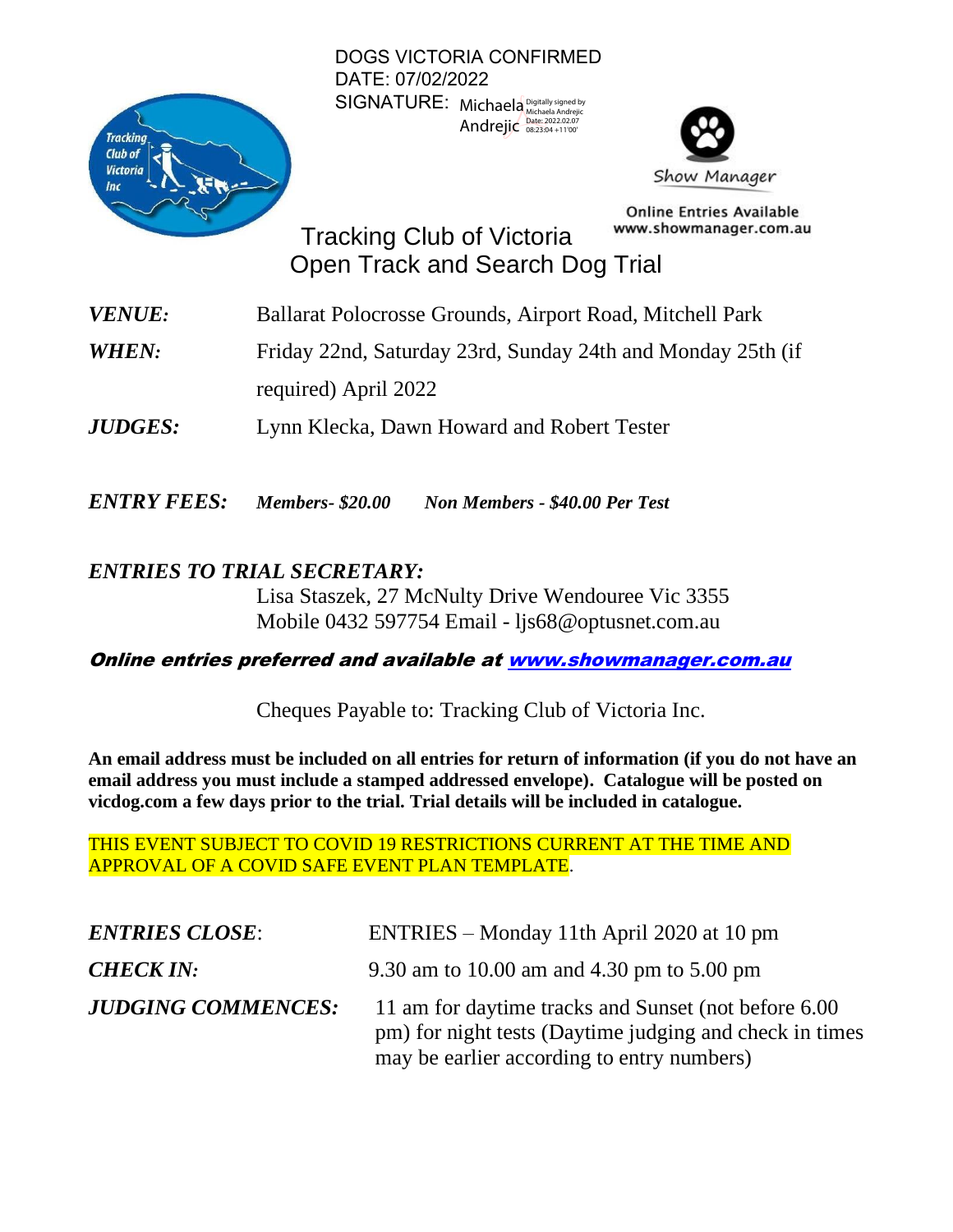

DOGS VICTORIA CONFIRMED DATE: 07/02/2022 SIGNATURE: Michaela Digitally signed by Andrejic Date: 2022.02.07



**Online Entries Available** www.showmanager.com.au

Tracking Club of Victoria Open Track and Search Dog Trial

- *VENUE:* Ballarat Polocrosse Grounds, Airport Road, Mitchell Park
- *WHEN:* Friday 22nd, Saturday 23rd, Sunday 24th and Monday 25th (if

required) April 2022

*JUDGES:* Lynn Klecka, Dawn Howard and Robert Tester

*ENTRY FEES: Members- \$20.00 Non Members - \$40.00 Per Test*

## *ENTRIES TO TRIAL SECRETARY:*

Lisa Staszek, 27 McNulty Drive Wendouree Vic 3355 Mobile 0432 597754 Email - [ljs68@optusnet.com.au](mailto:ljs68@optusnet.com.au)

## Online entries preferred and available a[t www.showmanager.com.au](http://www.showmanager.com.au/)

Cheques Payable to: Tracking Club of Victoria Inc.

**An email address must be included on all entries for return of information (if you do not have an email address you must include a stamped addressed envelope). Catalogue will be posted on vicdog.com a few days prior to the trial. Trial details will be included in catalogue.** 

THIS EVENT SUBJECT TO COVID 19 RESTRICTIONS CURRENT AT THE TIME AND APPROVAL OF A COVID SAFE EVENT PLAN TEMPLATE.

| <b>ENTRIES CLOSE:</b>     | ENTRIES – Monday 11th April 2020 at 10 pm                                                                                                                      |
|---------------------------|----------------------------------------------------------------------------------------------------------------------------------------------------------------|
| <b>CHECK IN:</b>          | 9.30 am to 10.00 am and 4.30 pm to 5.00 pm                                                                                                                     |
| <b>JUDGING COMMENCES:</b> | 11 am for daytime tracks and Sunset (not before 6.00)<br>pm) for night tests (Daytime judging and check in times<br>may be earlier according to entry numbers) |